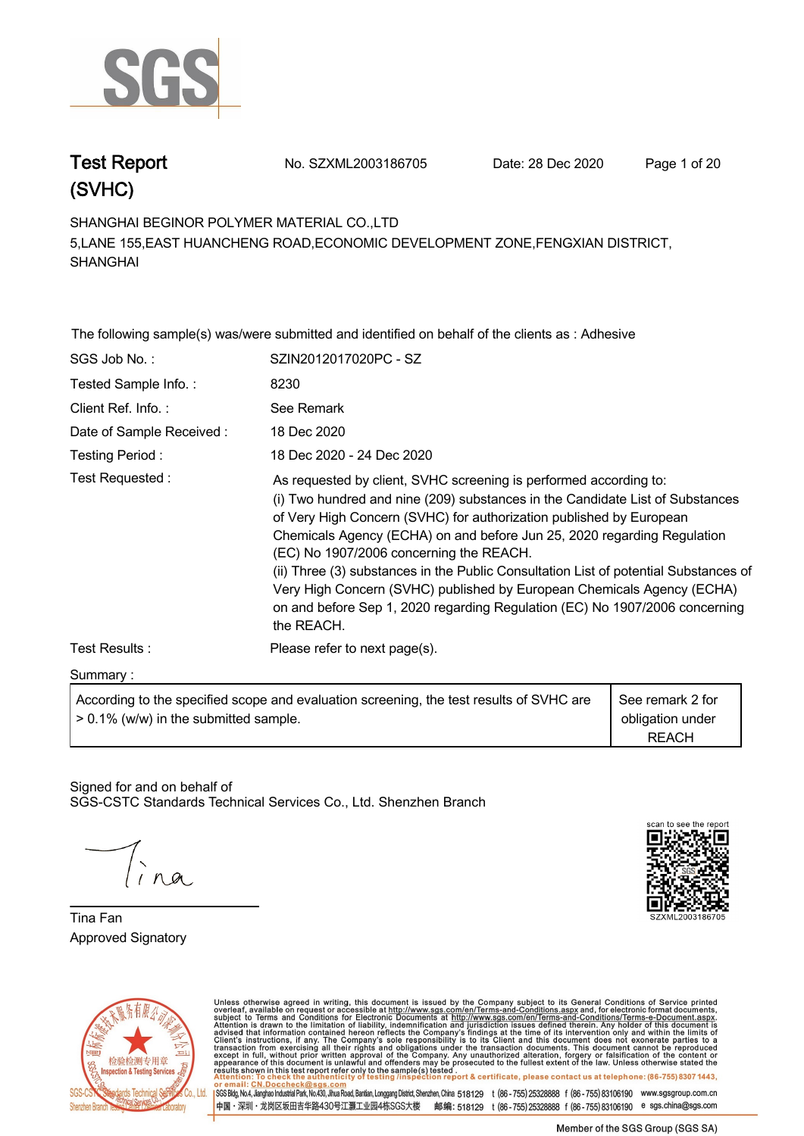

**Test Report. No. SZXML2003186705 Date: 28 Dec 2020. Page 1 of 20.**

**SHANGHAI BEGINOR POLYMER MATERIAL CO.,LTD . 5,LANE 155,EAST HUANCHENG ROAD,ECONOMIC DEVELOPMENT ZONE,FENGXIAN DISTRICT, SHANGHAI**

**The following sample(s) was/were submitted and identified on behalf of the clients as : Adhesive . SGS Job No. : SZIN2012017020PC - SZ . Tested Sample Info. : . 8230. Client Ref. Info. :. See Remark. Date of Sample Received : . 18 Dec 2020. Testing Period :. 18 Dec 2020 - 24 Dec 2020 . Test Requested :. As requested by client, SVHC screening is performed according to: (i) Two hundred and nine (209) substances in the Candidate List of Substances of Very High Concern (SVHC) for authorization published by European Chemicals Agency (ECHA) on and before Jun 25, 2020 regarding Regulation (EC) No 1907/2006 concerning the REACH. (ii) Three (3) substances in the Public Consultation List of potential Substances of Very High Concern (SVHC) published by European Chemicals Agency (ECHA) on and before Sep 1, 2020 regarding Regulation (EC) No 1907/2006 concerning the REACH.. Test Results :. Please refer to next page(s). Summary :.**

**According to the specified scope and evaluation screening, the test results of SVHC are > 0.1% (w/w) in the submitted sample. See remark 2 for obligation under REACH**

Signed for and on behalf of SGS-CSTC Standards Technical Services Co., Ltd. Shenzhen Branch.

**Tina Fan. Approved Signatory . . .**





Unless otherwise agreed in writing, this document is issued by the Company subject to its General Conditions of Service printed overleaf, available on request or accessible at http://www.sgs.com/en/Terms-and-Conditions.as SGS Bldg, No.4, Jianghao Industrial Park, No.430, Jihua Road, Bantian, Longgang District, Shenzhen, China 518129 t (86-755) 25328888 f (86-755) 83106190 www.sgsgroup.com.cn

中国・深圳・龙岗区坂田吉华路430号江灏工业园4栋SGS大楼 邮编: 518129 t (86-755)25328888 f (86-755)83106190 e sgs.china@sgs.com

Member of the SGS Group (SGS SA)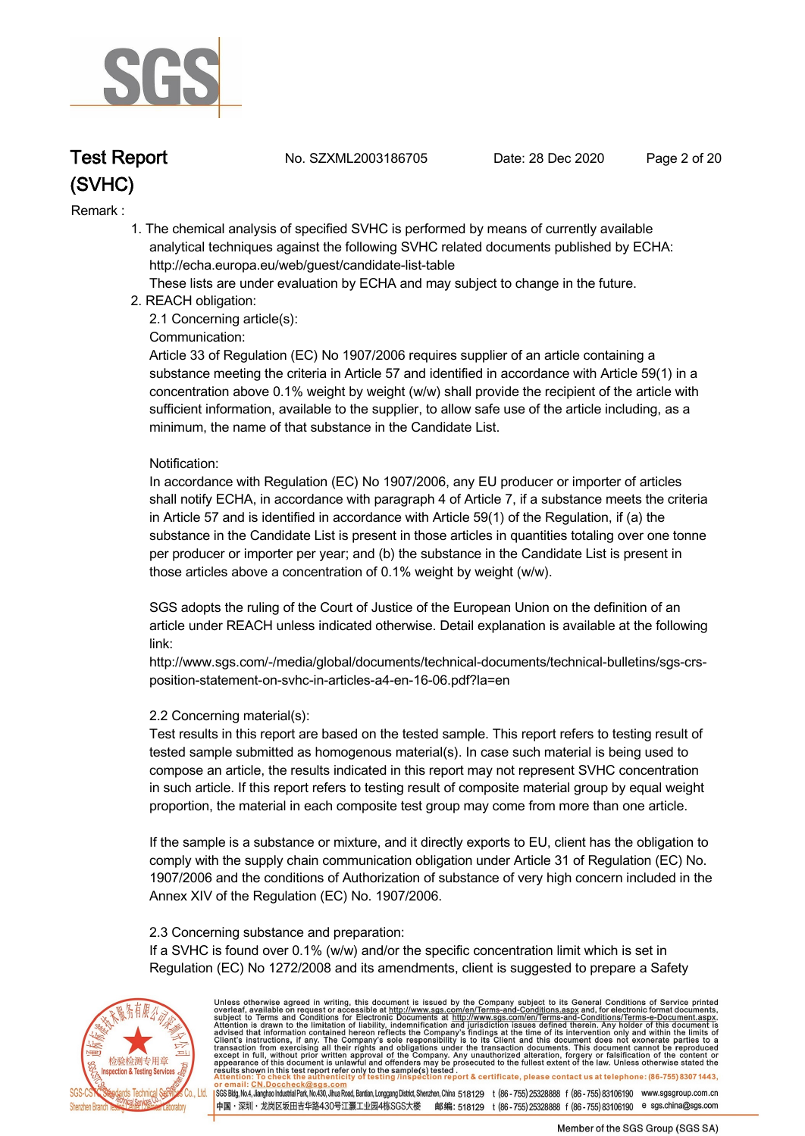

**Test Report. No. SZXML2003186705 Date: 28 Dec 2020. Page 2 of 20.**

#### **Remark :.**

 **1. The chemical analysis of specified SVHC is performed by means of currently available analytical techniques against the following SVHC related documents published by ECHA: http://echa.europa.eu/web/guest/candidate-list-table** 

 **These lists are under evaluation by ECHA and may subject to change in the future.** 

 **2. REACH obligation:** 

 **2.1 Concerning article(s):** 

#### **Communication:**

 **Article 33 of Regulation (EC) No 1907/2006 requires supplier of an article containing a substance meeting the criteria in Article 57 and identified in accordance with Article 59(1) in a concentration above 0.1% weight by weight (w/w) shall provide the recipient of the article with sufficient information, available to the supplier, to allow safe use of the article including, as a minimum, the name of that substance in the Candidate List.** 

#### **Notification:**

 **In accordance with Regulation (EC) No 1907/2006, any EU producer or importer of articles shall notify ECHA, in accordance with paragraph 4 of Article 7, if a substance meets the criteria in Article 57 and is identified in accordance with Article 59(1) of the Regulation, if (a) the substance in the Candidate List is present in those articles in quantities totaling over one tonne per producer or importer per year; and (b) the substance in the Candidate List is present in those articles above a concentration of 0.1% weight by weight (w/w).** 

 **SGS adopts the ruling of the Court of Justice of the European Union on the definition of an article under REACH unless indicated otherwise. Detail explanation is available at the following link:** 

 **http://www.sgs.com/-/media/global/documents/technical-documents/technical-bulletins/sgs-crs position-statement-on-svhc-in-articles-a4-en-16-06.pdf?la=en** 

#### **2.2 Concerning material(s):**

 **Test results in this report are based on the tested sample. This report refers to testing result of tested sample submitted as homogenous material(s). In case such material is being used to compose an article, the results indicated in this report may not represent SVHC concentration in such article. If this report refers to testing result of composite material group by equal weight proportion, the material in each composite test group may come from more than one article.** 

 **If the sample is a substance or mixture, and it directly exports to EU, client has the obligation to comply with the supply chain communication obligation under Article 31 of Regulation (EC) No. 1907/2006 and the conditions of Authorization of substance of very high concern included in the Annex XIV of the Regulation (EC) No. 1907/2006.** 

#### **2.3 Concerning substance and preparation:**

 **If a SVHC is found over 0.1% (w/w) and/or the specific concentration limit which is set in Regulation (EC) No 1272/2008 and its amendments, client is suggested to prepare a Safety** 



Unless otherwise agreed in writing, this document is issued by the Company subject to its General Conditions of Service printed overleaf, available on request or accessible at http://www.sgs.com/en/Terms-and-Conditions.as SGS Bldg, No.4, Jianghao Industrial Park, No.430, Jihua Road, Bantian, Longgang District, Shenzhen, China 518129 t (86-755) 25328888 f (86-755) 83106190 www.sgsgroup.com.cn

中国・深圳・龙岗区坂田吉华路430号江灏工业园4栋SGS大楼 邮编: 518129 t (86-755) 25328888 f (86-755) 83106190 e sgs.china@sgs.com

Member of the SGS Group (SGS SA)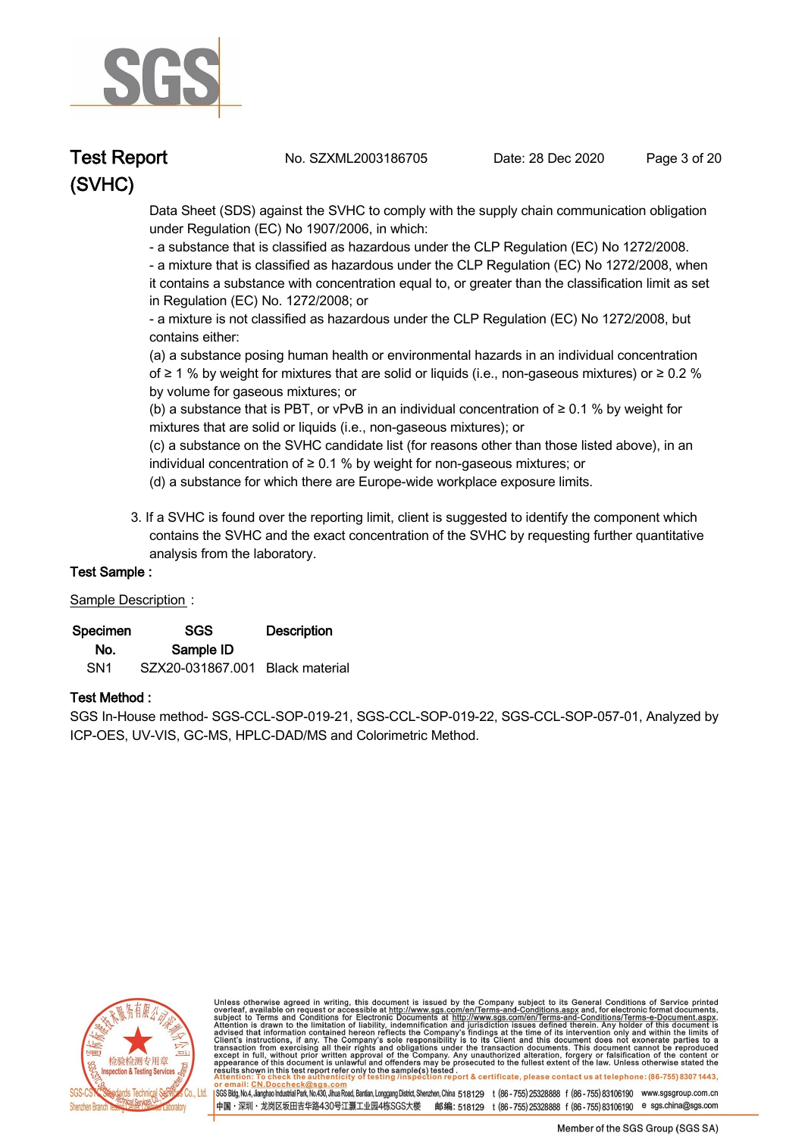

**Test Report. No. SZXML2003186705 Date: 28 Dec 2020. Page 3 of 20.**

 **Data Sheet (SDS) against the SVHC to comply with the supply chain communication obligation under Regulation (EC) No 1907/2006, in which:** 

 **- a substance that is classified as hazardous under the CLP Regulation (EC) No 1272/2008.** 

 **- a mixture that is classified as hazardous under the CLP Regulation (EC) No 1272/2008, when it contains a substance with concentration equal to, or greater than the classification limit as set in Regulation (EC) No. 1272/2008; or** 

 **- a mixture is not classified as hazardous under the CLP Regulation (EC) No 1272/2008, but contains either:** 

 **(a) a substance posing human health or environmental hazards in an individual concentration of ≥ 1 % by weight for mixtures that are solid or liquids (i.e., non-gaseous mixtures) or ≥ 0.2 % by volume for gaseous mixtures; or** 

 **(b) a substance that is PBT, or vPvB in an individual concentration of ≥ 0.1 % by weight for mixtures that are solid or liquids (i.e., non-gaseous mixtures); or** 

 **(c) a substance on the SVHC candidate list (for reasons other than those listed above), in an individual concentration of ≥ 0.1 % by weight for non-gaseous mixtures; or** 

- **(d) a substance for which there are Europe-wide workplace exposure limits.**
- **3. If a SVHC is found over the reporting limit, client is suggested to identify the component which contains the SVHC and the exact concentration of the SVHC by requesting further quantitative analysis from the laboratory.**

#### **Test Sample :.**

#### **Sample Description:**

| Specimen        | <b>SGS</b>                      | <b>Description</b> |  |
|-----------------|---------------------------------|--------------------|--|
| No.             | Sample ID                       |                    |  |
| SN <sub>1</sub> | SZX20-031867.001 Black material |                    |  |

#### **Test Method :.**

**SGS In-House method- SGS-CCL-SOP-019-21, SGS-CCL-SOP-019-22, SGS-CCL-SOP-057-01, Analyzed by ICP-OES, UV-VIS, GC-MS, HPLC-DAD/MS and Colorimetric Method. .**



Unless otherwise agreed in writing, this document is issued by the Company subject to its General Conditions of Service printed overleaf, available on request or accessible at http://www.sgs.com/en/Terms-and-Conditions.asp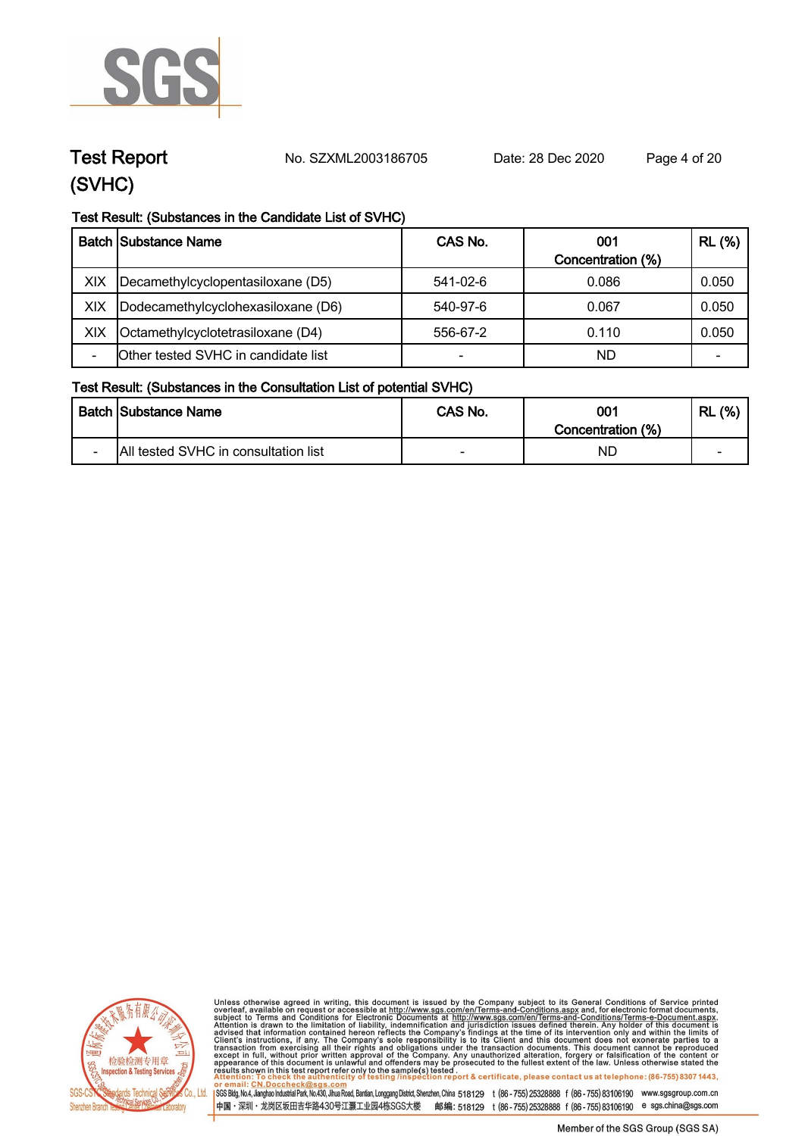

**Test Report. No. SZXML2003186705 Date: 28 Dec 2020. Page 4 of 20.**

#### **Test Result: (Substances in the Candidate List of SVHC)**

|     | <b>Batch Substance Name</b>         | CAS No.                  | 001<br>Concentration (%) | <b>RL</b> (%) |
|-----|-------------------------------------|--------------------------|--------------------------|---------------|
| XIX | Decamethylcyclopentasiloxane (D5)   | 541-02-6                 | 0.086                    | 0.050         |
| XIX | Dodecamethylcyclohexasiloxane (D6)  | 540-97-6                 | 0.067                    | 0.050         |
| XIX | Octamethylcyclotetrasiloxane (D4)   | 556-67-2                 | 0.110                    | 0.050         |
|     | Other tested SVHC in candidate list | $\overline{\phantom{0}}$ | ND                       | -             |

#### **Test Result: (Substances in the Consultation List of potential SVHC)**

|                          | <b>Batch Substance Name</b>          | CAS No. | 001<br>Concentration (%) | (%)<br>RL |
|--------------------------|--------------------------------------|---------|--------------------------|-----------|
| $\overline{\phantom{0}}$ | All tested SVHC in consultation list |         | ND                       | -         |



Unless otherwise agreed in writing, this document is issued by the Company subject to its General Conditions of Service printed overleaf, available on request or accessible at http://www.sgs.com/en/Terms-and-Conditions.as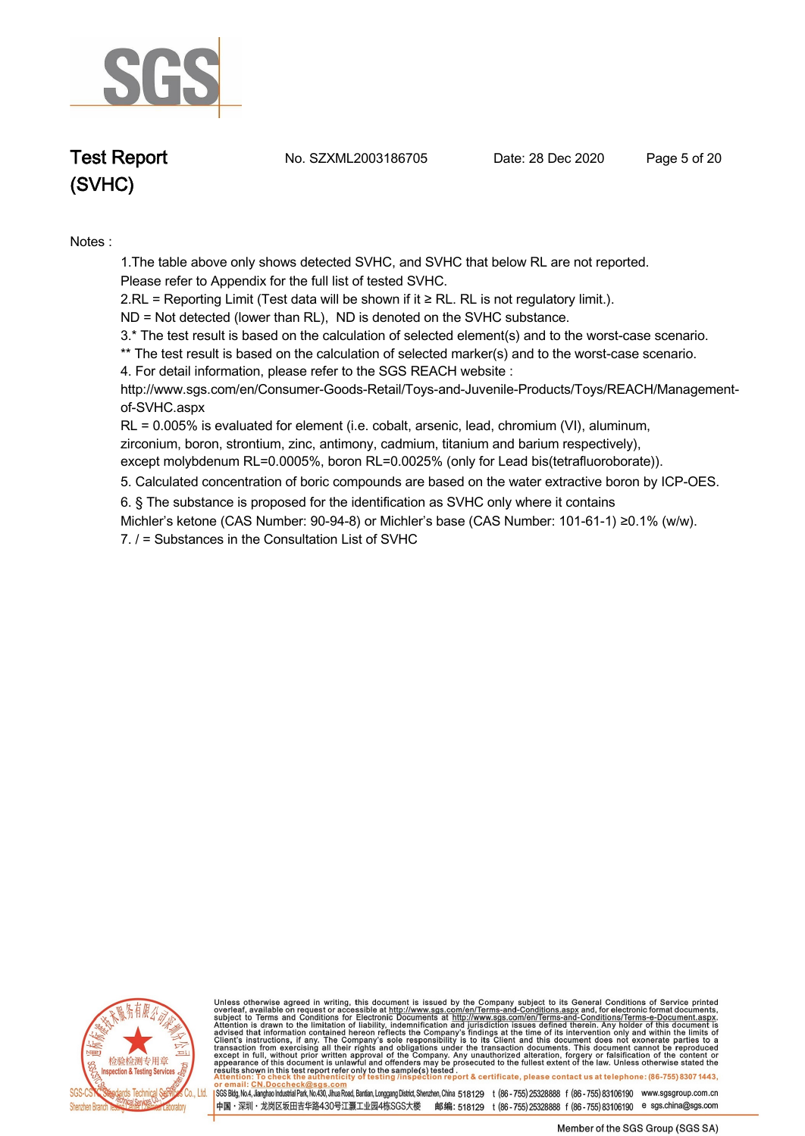

**Test Report. No. SZXML2003186705 Date: 28 Dec 2020. Page 5 of 20.**

**Notes :.**

**1.The table above only shows detected SVHC, and SVHC that below RL are not reported.** 

**Please refer to Appendix for the full list of tested SVHC.**

**2.RL = Reporting Limit (Test data will be shown if it ≥ RL. RL is not regulatory limit.).**

**ND = Not detected (lower than RL), ND is denoted on the SVHC substance.**

**3.\* The test result is based on the calculation of selected element(s) and to the worst-case scenario.** 

**\*\* The test result is based on the calculation of selected marker(s) and to the worst-case scenario.**

**4. For detail information, please refer to the SGS REACH website :** 

**http://www.sgs.com/en/Consumer-Goods-Retail/Toys-and-Juvenile-Products/Toys/REACH/Managementof-SVHC.aspx** 

**RL = 0.005% is evaluated for element (i.e. cobalt, arsenic, lead, chromium (VI), aluminum, zirconium, boron, strontium, zinc, antimony, cadmium, titanium and barium respectively),** 

**except molybdenum RL=0.0005%, boron RL=0.0025% (only for Lead bis(tetrafluoroborate)). .**

**5. Calculated concentration of boric compounds are based on the water extractive boron by ICP-OES. .**

**6. § The substance is proposed for the identification as SVHC only where it contains** 

**Michler's ketone (CAS Number: 90-94-8) or Michler's base (CAS Number: 101-61-1) ≥0.1% (w/w).**

**7. / = Substances in the Consultation List of SVHC .**



Unless otherwise agreed in writing, this document is issued by the Company subject to its General Conditions of Service printed<br>overleaf, available on request or accessible at http://www.sgs.com/en/Terms-and-Conditions.as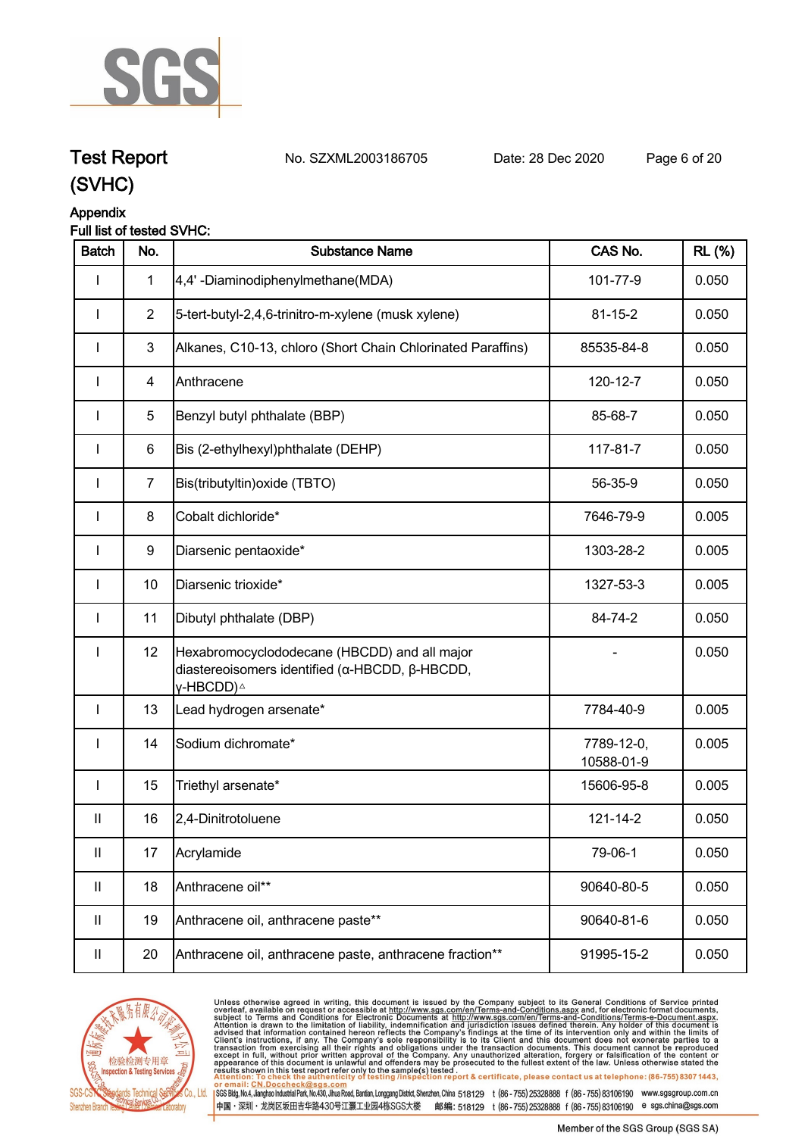

**Test Report. No. SZXML2003186705 Date: 28 Dec 2020. Page 6 of 20.**

# **(SVHC)**

#### **Appendix**

#### **Full list of tested SVHC:**

| <b>Batch</b>               | No.            | <b>Substance Name</b>                                                                                                   | CAS No.                  | <b>RL</b> (%) |
|----------------------------|----------------|-------------------------------------------------------------------------------------------------------------------------|--------------------------|---------------|
| I                          | $\mathbf 1$    | 4,4'-Diaminodiphenylmethane(MDA)                                                                                        | 101-77-9                 | 0.050         |
| I                          | $\overline{2}$ | 5-tert-butyl-2,4,6-trinitro-m-xylene (musk xylene)                                                                      | $81 - 15 - 2$            | 0.050         |
|                            | 3              | Alkanes, C10-13, chloro (Short Chain Chlorinated Paraffins)                                                             | 85535-84-8               | 0.050         |
| <b>I</b>                   | 4              | Anthracene                                                                                                              | 120-12-7                 | 0.050         |
| $\mathbf{I}$               | 5              | Benzyl butyl phthalate (BBP)                                                                                            | 85-68-7                  | 0.050         |
| I                          | 6              | Bis (2-ethylhexyl)phthalate (DEHP)                                                                                      | 117-81-7                 | 0.050         |
| I                          | $\overline{7}$ | Bis(tributyltin) oxide (TBTO)                                                                                           | 56-35-9                  | 0.050         |
| $\mathbf{I}$               | 8              | Cobalt dichloride*                                                                                                      | 7646-79-9                | 0.005         |
| I                          | 9              | Diarsenic pentaoxide*                                                                                                   | 1303-28-2                | 0.005         |
| $\mathbf{I}$               | 10             | Diarsenic trioxide*                                                                                                     | 1327-53-3                | 0.005         |
| $\mathbf{I}$               | 11             | Dibutyl phthalate (DBP)                                                                                                 | 84-74-2                  | 0.050         |
| I                          | 12             | Hexabromocyclododecane (HBCDD) and all major<br>diastereoisomers identified (α-HBCDD, β-HBCDD,<br>γ-HBCDD) <sup>∆</sup> |                          | 0.050         |
| $\mathbf{I}$               | 13             | Lead hydrogen arsenate*                                                                                                 | 7784-40-9                | 0.005         |
| $\mathbf{I}$               | 14             | Sodium dichromate*                                                                                                      | 7789-12-0,<br>10588-01-9 | 0.005         |
| I                          | 15             | Triethyl arsenate*                                                                                                      | 15606-95-8               | 0.005         |
| $\mathsf{I}$               | 16             | 2,4-Dinitrotoluene                                                                                                      | 121-14-2                 | 0.050         |
| $\sf II$                   | 17             | Acrylamide                                                                                                              | 79-06-1                  | 0.050         |
| $\mathbf{II}$              | 18             | Anthracene oil**                                                                                                        | 90640-80-5               | 0.050         |
| $\mathbf{II}$              | 19             | Anthracene oil, anthracene paste**                                                                                      | 90640-81-6               | 0.050         |
| $\ensuremath{\mathsf{II}}$ | 20             | Anthracene oil, anthracene paste, anthracene fraction**                                                                 | 91995-15-2               | 0.050         |



Unless otherwise agreed in writing, this document is issued by the Company subject to its General Conditions of Service printed overleaf, available on request or accessible at http://www.sgs.com/en/Terms-and-Conditions.as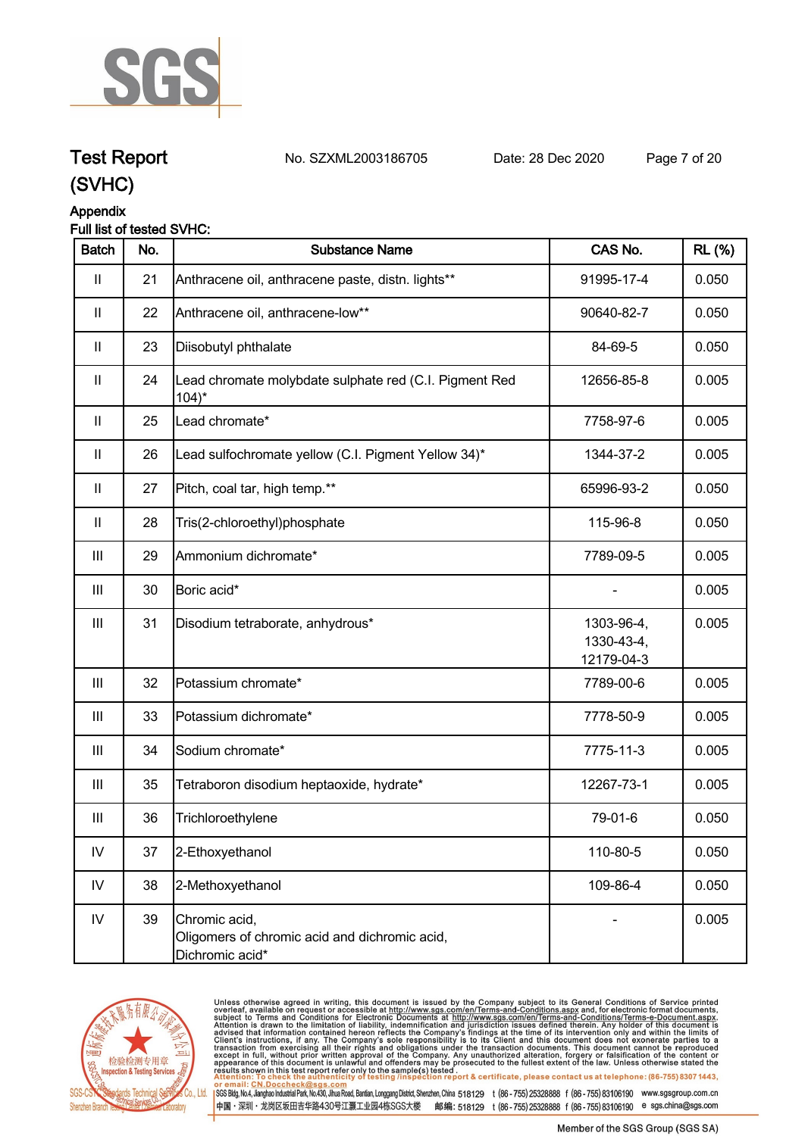

## **Test Report. No. SZXML2003186705 Date: 28 Dec 2020. Page 7 of 20.**

#### **(SVHC)**

**Appendix**

#### **Full list of tested SVHC:**

| <b>Batch</b>               | No. | <b>Substance Name</b>                                                             | CAS No.                                | <b>RL</b> (%) |
|----------------------------|-----|-----------------------------------------------------------------------------------|----------------------------------------|---------------|
| $\mathbf{II}$              | 21  | Anthracene oil, anthracene paste, distn. lights**                                 | 91995-17-4                             | 0.050         |
| $\mathbf{II}$              | 22  | Anthracene oil, anthracene-low**                                                  | 90640-82-7                             | 0.050         |
| $\mathbf{II}$              | 23  | Diisobutyl phthalate                                                              | 84-69-5                                | 0.050         |
| $\ensuremath{\mathsf{II}}$ | 24  | Lead chromate molybdate sulphate red (C.I. Pigment Red<br>$104$ <sup>*</sup>      | 12656-85-8                             | 0.005         |
| $\mathbf{II}$              | 25  | Lead chromate*                                                                    | 7758-97-6                              | 0.005         |
| $\ensuremath{\mathsf{II}}$ | 26  | Lead sulfochromate yellow (C.I. Pigment Yellow 34)*                               | 1344-37-2                              | 0.005         |
| $\mathbf{II}$              | 27  | Pitch, coal tar, high temp.**                                                     | 65996-93-2                             | 0.050         |
| $\mathbf{II}$              | 28  | Tris(2-chloroethyl)phosphate                                                      | 115-96-8                               | 0.050         |
| Ш                          | 29  | Ammonium dichromate*                                                              | 7789-09-5                              | 0.005         |
| $\mathbf{III}$             | 30  | Boric acid*                                                                       |                                        | 0.005         |
| $\mathop{\rm III}$         | 31  | Disodium tetraborate, anhydrous*                                                  | 1303-96-4,<br>1330-43-4,<br>12179-04-3 | 0.005         |
| $\mathbf{III}$             | 32  | Potassium chromate*                                                               | 7789-00-6                              | 0.005         |
| Ш                          | 33  | Potassium dichromate*                                                             | 7778-50-9                              | 0.005         |
| $\mathop{\rm III}$         | 34  | Sodium chromate*                                                                  | 7775-11-3                              | 0.005         |
| $\mathbf{III}$             | 35  | Tetraboron disodium heptaoxide, hydrate*                                          | 12267-73-1                             | 0.005         |
| Ш                          | 36  | Trichloroethylene                                                                 | 79-01-6                                | 0.050         |
| $\mathsf{IV}$              | 37  | 2-Ethoxyethanol                                                                   | 110-80-5                               | 0.050         |
| ${\sf IV}$                 | 38  | 2-Methoxyethanol                                                                  | 109-86-4                               | 0.050         |
| IV                         | 39  | Chromic acid,<br>Oligomers of chromic acid and dichromic acid,<br>Dichromic acid* |                                        | 0.005         |



Unless otherwise agreed in writing, this document is issued by the Company subject to its General Conditions of Service printed overleaf, available on request or accessible at http://www.sgs.com/en/Terms-and-Conditions.as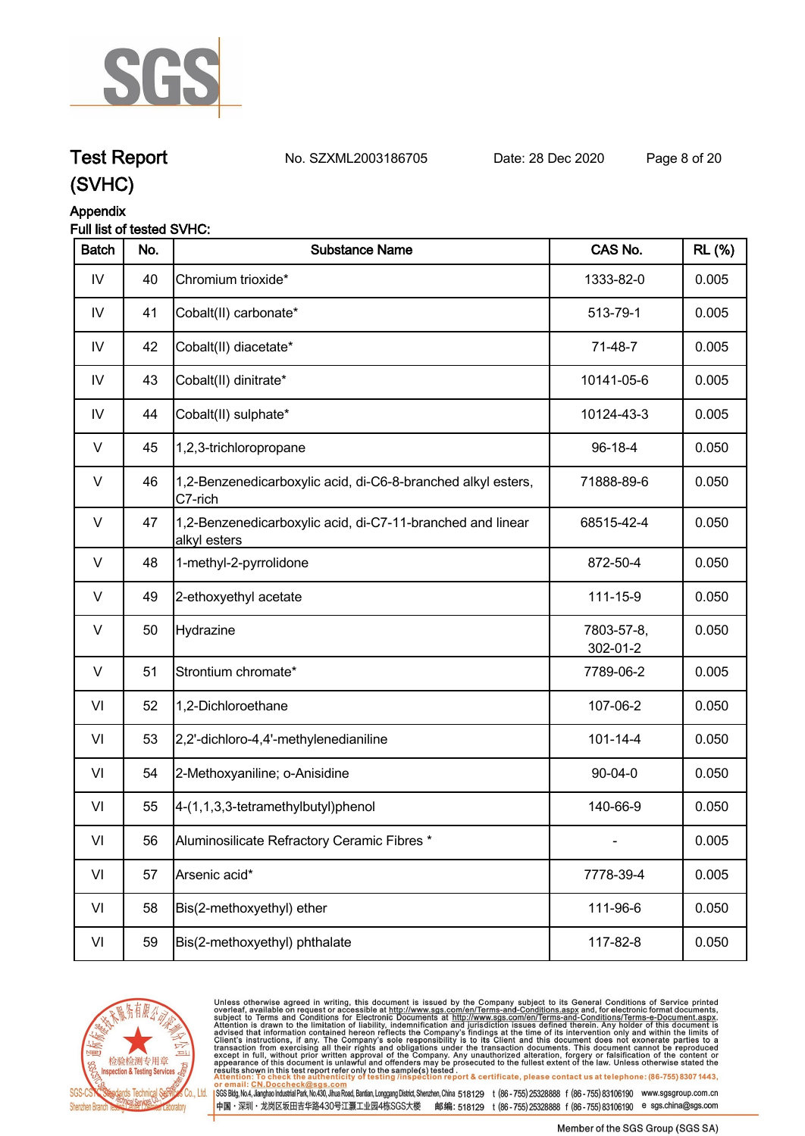

## **Test Report. No. SZXML2003186705 Date: 28 Dec 2020. Page 8 of 20.**

**(SVHC)**

#### **Appendix**

| Full list of tested SVHC: |  |
|---------------------------|--|
|---------------------------|--|

| <b>Batch</b>  | No. | <b>Substance Name</b>                                                      | CAS No.                | <b>RL</b> (%) |
|---------------|-----|----------------------------------------------------------------------------|------------------------|---------------|
| IV            | 40  | Chromium trioxide*                                                         | 1333-82-0              | 0.005         |
| $\mathsf{IV}$ | 41  | Cobalt(II) carbonate*                                                      | 513-79-1               | 0.005         |
| $\mathsf{IV}$ | 42  | Cobalt(II) diacetate*                                                      | 71-48-7                | 0.005         |
| IV            | 43  | Cobalt(II) dinitrate*                                                      | 10141-05-6             | 0.005         |
| IV            | 44  | Cobalt(II) sulphate*                                                       | 10124-43-3             | 0.005         |
| V             | 45  | 1,2,3-trichloropropane                                                     | 96-18-4                | 0.050         |
| V             | 46  | 1,2-Benzenedicarboxylic acid, di-C6-8-branched alkyl esters,<br>C7-rich    | 71888-89-6             | 0.050         |
| V             | 47  | 1,2-Benzenedicarboxylic acid, di-C7-11-branched and linear<br>alkyl esters | 68515-42-4             | 0.050         |
| V             | 48  | 1-methyl-2-pyrrolidone                                                     | 872-50-4               | 0.050         |
| $\vee$        | 49  | 2-ethoxyethyl acetate                                                      | 111-15-9               | 0.050         |
| V             | 50  | Hydrazine                                                                  | 7803-57-8,<br>302-01-2 | 0.050         |
| $\vee$        | 51  | Strontium chromate*                                                        | 7789-06-2              | 0.005         |
| VI            | 52  | 1,2-Dichloroethane                                                         | 107-06-2               | 0.050         |
| VI            | 53  | 2,2'-dichloro-4,4'-methylenedianiline                                      | $101 - 14 - 4$         | 0.050         |
| VI            | 54  | 2-Methoxyaniline; o-Anisidine                                              | $90 - 04 - 0$          | 0.050         |
| VI            | 55  | 4-(1,1,3,3-tetramethylbutyl)phenol                                         | 140-66-9               | 0.050         |
| VI            | 56  | Aluminosilicate Refractory Ceramic Fibres *                                |                        | 0.005         |
| VI            | 57  | Arsenic acid*                                                              | 7778-39-4              | 0.005         |
| VI            | 58  | Bis(2-methoxyethyl) ether                                                  | 111-96-6               | 0.050         |
| VI            | 59  | Bis(2-methoxyethyl) phthalate                                              | 117-82-8               | 0.050         |
|               |     |                                                                            |                        |               |



Unless otherwise agreed in writing, this document is issued by the Company subject to its General Conditions of Service printed overleaf, available on request or accessible at http://www.sgs.com/en/Terms-and-Conditions.as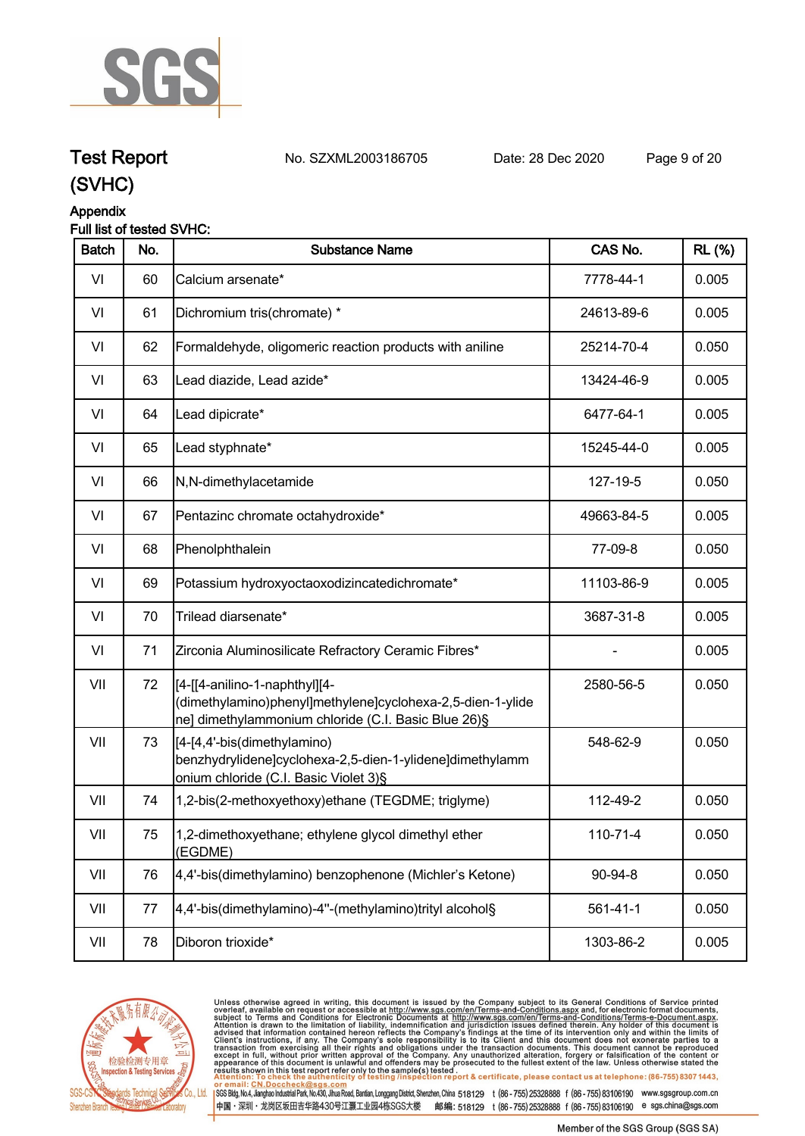

**Test Report. No. SZXML2003186705 Date: 28 Dec 2020. Page 9 of 20.**

#### **Appendix Full list of tested SVHC:**

| <b>Batch</b> | No. | <b>Substance Name</b>                                                                                                                              | CAS No.        | <b>RL (%)</b> |
|--------------|-----|----------------------------------------------------------------------------------------------------------------------------------------------------|----------------|---------------|
| VI           | 60  | Calcium arsenate*                                                                                                                                  | 7778-44-1      | 0.005         |
| VI           | 61  | Dichromium tris(chromate) *                                                                                                                        | 24613-89-6     | 0.005         |
| VI           | 62  | Formaldehyde, oligomeric reaction products with aniline                                                                                            | 25214-70-4     | 0.050         |
| VI           | 63  | Lead diazide, Lead azide*                                                                                                                          | 13424-46-9     | 0.005         |
| VI           | 64  | Lead dipicrate*                                                                                                                                    | 6477-64-1      | 0.005         |
| VI           | 65  | Lead styphnate*                                                                                                                                    | 15245-44-0     | 0.005         |
| VI           | 66  | N,N-dimethylacetamide                                                                                                                              | 127-19-5       | 0.050         |
| VI           | 67  | Pentazinc chromate octahydroxide*                                                                                                                  | 49663-84-5     | 0.005         |
| VI           | 68  | Phenolphthalein                                                                                                                                    | 77-09-8        | 0.050         |
| VI           | 69  | Potassium hydroxyoctaoxodizincatedichromate*                                                                                                       | 11103-86-9     | 0.005         |
| VI           | 70  | Trilead diarsenate*                                                                                                                                | 3687-31-8      | 0.005         |
| VI           | 71  | Zirconia Aluminosilicate Refractory Ceramic Fibres*                                                                                                |                | 0.005         |
| VII          | 72  | [4-[[4-anilino-1-naphthyl][4-<br>(dimethylamino)phenyl]methylene]cyclohexa-2,5-dien-1-ylide<br>ne] dimethylammonium chloride (C.I. Basic Blue 26)§ | 2580-56-5      | 0.050         |
| VII          | 73  | [[4-[4,4'-bis(dimethylamino)<br>benzhydrylidene]cyclohexa-2,5-dien-1-ylidene]dimethylamm<br>onium chloride (C.I. Basic Violet 3)§                  | 548-62-9       | 0.050         |
| VII          | 74  | 1,2-bis(2-methoxyethoxy)ethane (TEGDME; triglyme)                                                                                                  | 112-49-2       | 0.050         |
| VII          | 75  | 1,2-dimethoxyethane; ethylene glycol dimethyl ether<br>(EGDME)                                                                                     | 110-71-4       | 0.050         |
| VII          | 76  | 4,4'-bis(dimethylamino) benzophenone (Michler's Ketone)                                                                                            | 90-94-8        | 0.050         |
| VII          | 77  | 4,4'-bis(dimethylamino)-4"-(methylamino)trityl alcohol§                                                                                            | $561 - 41 - 1$ | 0.050         |
| VII          | 78  | Diboron trioxide*                                                                                                                                  | 1303-86-2      | 0.005         |
|              |     |                                                                                                                                                    |                |               |



Unless otherwise agreed in writing, this document is issued by the Company subject to its General Conditions of Service printed overleaf, available on request or accessible at http://www.sgs.com/en/Terms-and-Conditions.as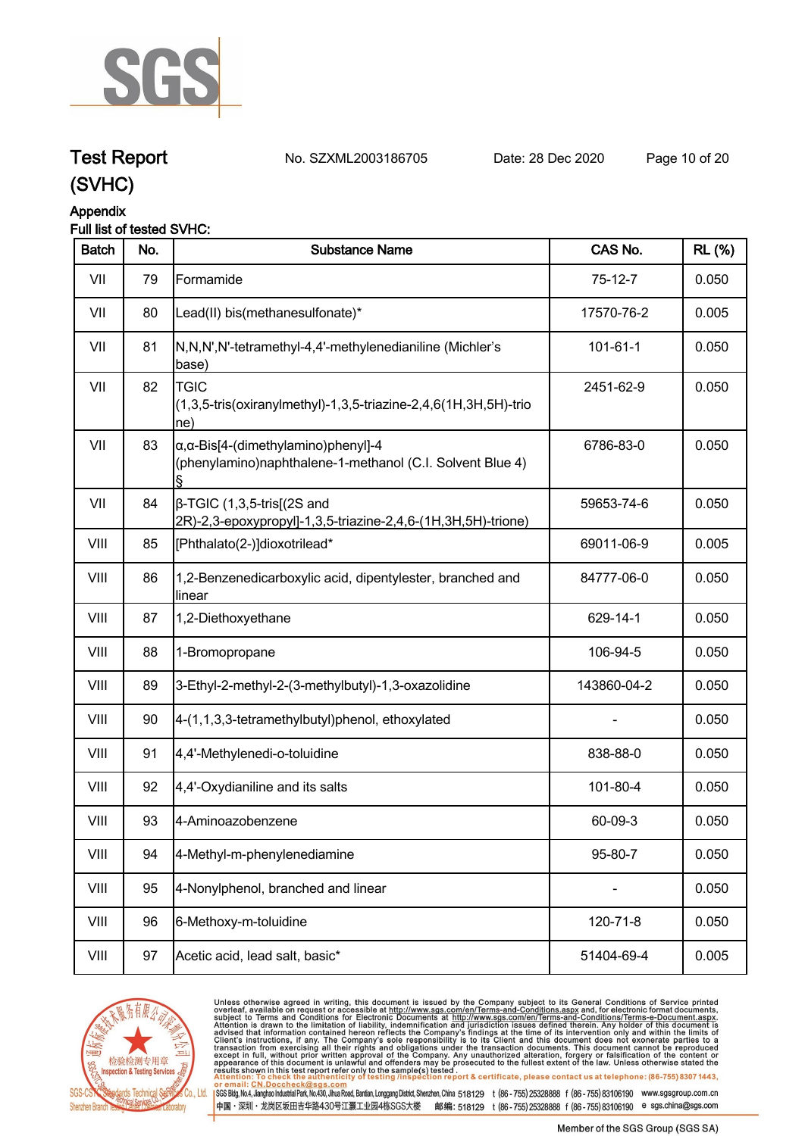

### **Test Report. No. SZXML2003186705 Date: 28 Dec 2020. Page 10 of 20.**

### **(SVHC)**

#### **Appendix**

#### **Full list of tested SVHC:**

| <b>Batch</b> | No. | <b>Substance Name</b>                                                                                            | CAS No.        | <b>RL</b> (%) |
|--------------|-----|------------------------------------------------------------------------------------------------------------------|----------------|---------------|
| VII          | 79  | Formamide                                                                                                        | $75-12-7$      | 0.050         |
| VII          | 80  | Lead(II) bis(methanesulfonate)*                                                                                  | 17570-76-2     | 0.005         |
| VII          | 81  | N,N,N',N'-tetramethyl-4,4'-methylenedianiline (Michler's<br>base)                                                | $101 - 61 - 1$ | 0.050         |
| VII          | 82  | <b>TGIC</b><br>(1,3,5-tris(oxiranylmethyl)-1,3,5-triazine-2,4,6(1H,3H,5H)-trio<br>$ ne\rangle$                   | 2451-62-9      | 0.050         |
| VII          | 83  | $\alpha$ , $\alpha$ -Bis[4-(dimethylamino)phenyl]-4<br>(phenylamino)naphthalene-1-methanol (C.I. Solvent Blue 4) | 6786-83-0      | 0.050         |
| VII          | 84  | $\beta$ -TGIC (1,3,5-tris[(2S and<br>2R)-2,3-epoxypropyl]-1,3,5-triazine-2,4,6-(1H,3H,5H)-trione)                | 59653-74-6     | 0.050         |
| VIII         | 85  | [Phthalato(2-)]dioxotrilead*                                                                                     | 69011-06-9     | 0.005         |
| VIII         | 86  | 1,2-Benzenedicarboxylic acid, dipentylester, branched and<br>linear                                              | 84777-06-0     | 0.050         |
| VIII         | 87  | 1,2-Diethoxyethane                                                                                               | 629-14-1       | 0.050         |
| VIII         | 88  | 1-Bromopropane                                                                                                   | 106-94-5       | 0.050         |
| VIII         | 89  | 3-Ethyl-2-methyl-2-(3-methylbutyl)-1,3-oxazolidine                                                               | 143860-04-2    | 0.050         |
| VIII         | 90  | 4-(1,1,3,3-tetramethylbutyl)phenol, ethoxylated                                                                  |                | 0.050         |
| VIII         | 91  | 4,4'-Methylenedi-o-toluidine                                                                                     | 838-88-0       | 0.050         |
| VIII         | 92  | 4,4'-Oxydianiline and its salts                                                                                  | 101-80-4       | 0.050         |
| VIII         | 93  | 4-Aminoazobenzene                                                                                                | 60-09-3        | 0.050         |
| VIII         | 94  | 4-Methyl-m-phenylenediamine                                                                                      | 95-80-7        | 0.050         |
| VIII         | 95  | 4-Nonylphenol, branched and linear                                                                               |                | 0.050         |
| VIII         | 96  | 6-Methoxy-m-toluidine                                                                                            | 120-71-8       | 0.050         |
| VIII         | 97  | Acetic acid, lead salt, basic*                                                                                   | 51404-69-4     | 0.005         |



Unless otherwise agreed in writing, this document is issued by the Company subject to its General Conditions of Service printed overleaf, available on request or accessible at http://www.sgs.com/en/Terms-and-Conditions.as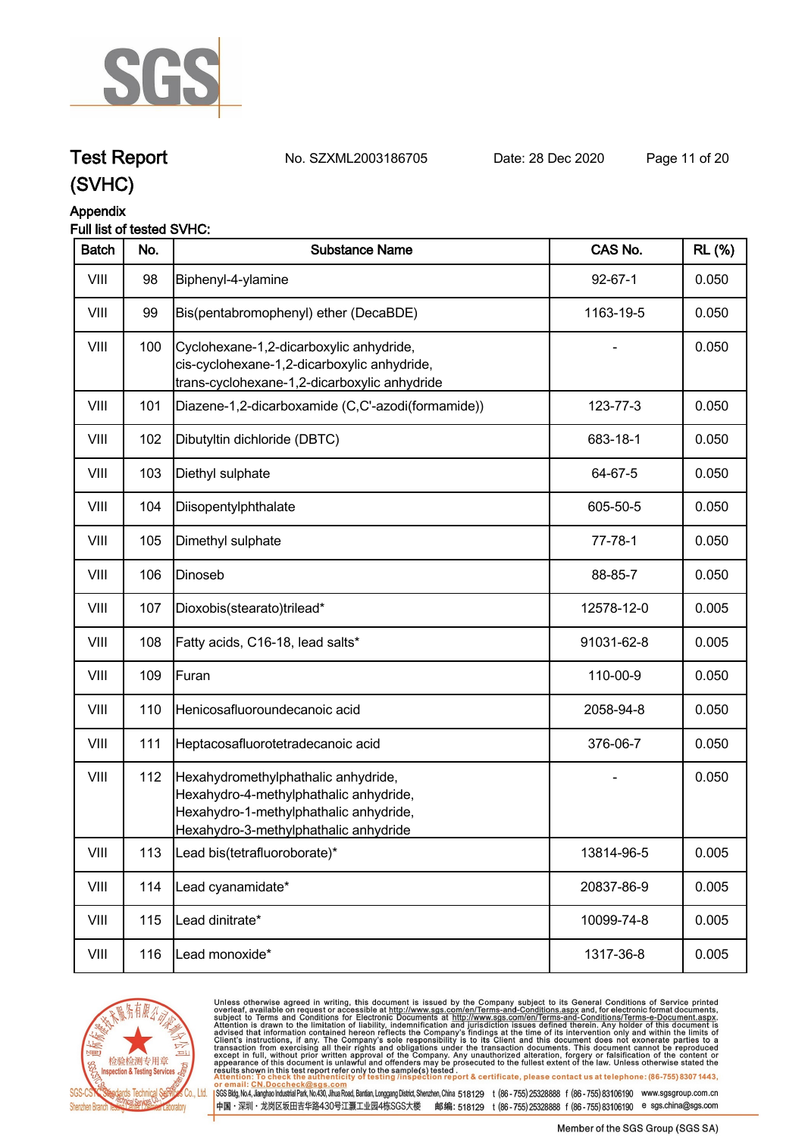

**Test Report. No. SZXML2003186705 Date: 28 Dec 2020. Page 11 of 20.**

#### **(SVHC)**

#### **Appendix**

#### **Full list of tested SVHC:**

| <b>Batch</b> | No. | <b>Substance Name</b>                                                                                                                                            | CAS No.       | <b>RL (%)</b> |
|--------------|-----|------------------------------------------------------------------------------------------------------------------------------------------------------------------|---------------|---------------|
| VIII         | 98  | Biphenyl-4-ylamine                                                                                                                                               | $92 - 67 - 1$ | 0.050         |
| VIII         | 99  | Bis(pentabromophenyl) ether (DecaBDE)                                                                                                                            | 1163-19-5     | 0.050         |
| VIII         | 100 | Cyclohexane-1,2-dicarboxylic anhydride,<br>cis-cyclohexane-1,2-dicarboxylic anhydride,<br>trans-cyclohexane-1,2-dicarboxylic anhydride                           |               | 0.050         |
| VIII         | 101 | Diazene-1,2-dicarboxamide (C,C'-azodi(formamide))                                                                                                                | 123-77-3      | 0.050         |
| VIII         | 102 | Dibutyltin dichloride (DBTC)                                                                                                                                     | 683-18-1      | 0.050         |
| VIII         | 103 | Diethyl sulphate                                                                                                                                                 | 64-67-5       | 0.050         |
| VIII         | 104 | Diisopentylphthalate                                                                                                                                             | 605-50-5      | 0.050         |
| VIII         | 105 | Dimethyl sulphate                                                                                                                                                | $77 - 78 - 1$ | 0.050         |
| VIII         | 106 | Dinoseb                                                                                                                                                          | 88-85-7       | 0.050         |
| VIII         | 107 | Dioxobis(stearato)trilead*                                                                                                                                       | 12578-12-0    | 0.005         |
| VIII         | 108 | Fatty acids, C16-18, lead salts*                                                                                                                                 | 91031-62-8    | 0.005         |
| VIII         | 109 | Furan                                                                                                                                                            | 110-00-9      | 0.050         |
| VIII         | 110 | Henicosafluoroundecanoic acid                                                                                                                                    | 2058-94-8     | 0.050         |
| VIII         | 111 | Heptacosafluorotetradecanoic acid                                                                                                                                | 376-06-7      | 0.050         |
| VIII         | 112 | Hexahydromethylphathalic anhydride,<br>Hexahydro-4-methylphathalic anhydride,<br>Hexahydro-1-methylphathalic anhydride,<br>Hexahydro-3-methylphathalic anhydride |               | 0.050         |
| VIII         | 113 | Lead bis(tetrafluoroborate)*                                                                                                                                     | 13814-96-5    | 0.005         |
| VIII         | 114 | Lead cyanamidate*                                                                                                                                                | 20837-86-9    | 0.005         |
| VIII         | 115 | Lead dinitrate*                                                                                                                                                  | 10099-74-8    | 0.005         |
| VIII         | 116 | Lead monoxide*                                                                                                                                                   | 1317-36-8     | 0.005         |



Unless otherwise agreed in writing, this document is issued by the Company subject to its General Conditions of Service printed overleaf, available on request or accessible at http://www.sgs.com/en/Terms-and-Conditions.as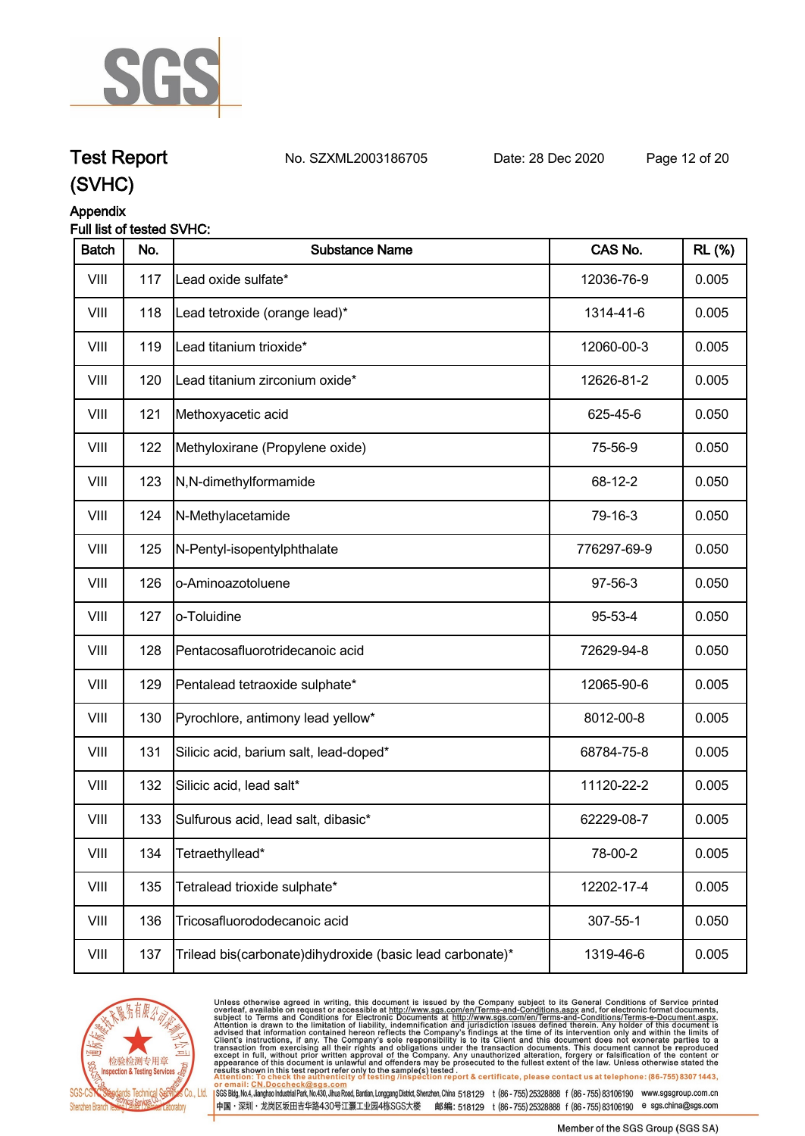

**Test Report. No. SZXML2003186705 Date: 28 Dec 2020. Page 12 of 20.**

#### **(SVHC)**

#### **Appendix**

#### **Full list of tested SVHC:**

| <b>Batch</b> | No. | <b>Substance Name</b>                                      | CAS No.     | <b>RL (%)</b> |
|--------------|-----|------------------------------------------------------------|-------------|---------------|
| VIII         | 117 | Lead oxide sulfate*                                        | 12036-76-9  | 0.005         |
| VIII         | 118 | Lead tetroxide (orange lead)*                              | 1314-41-6   | 0.005         |
| VIII         | 119 | Lead titanium trioxide*                                    | 12060-00-3  | 0.005         |
| VIII         | 120 | Lead titanium zirconium oxide*                             | 12626-81-2  | 0.005         |
| VIII         | 121 | Methoxyacetic acid                                         | 625-45-6    | 0.050         |
| VIII         | 122 | Methyloxirane (Propylene oxide)                            | 75-56-9     | 0.050         |
| VIII         | 123 | N,N-dimethylformamide                                      | 68-12-2     | 0.050         |
| VIII         | 124 | N-Methylacetamide                                          | 79-16-3     | 0.050         |
| VIII         | 125 | N-Pentyl-isopentylphthalate                                | 776297-69-9 | 0.050         |
| VIII         | 126 | o-Aminoazotoluene                                          | 97-56-3     | 0.050         |
| VIII         | 127 | lo-Toluidine                                               | 95-53-4     | 0.050         |
| VIII         | 128 | Pentacosafluorotridecanoic acid                            | 72629-94-8  | 0.050         |
| VIII         | 129 | Pentalead tetraoxide sulphate*                             | 12065-90-6  | 0.005         |
| VIII         | 130 | Pyrochlore, antimony lead yellow*                          | 8012-00-8   | 0.005         |
| VIII         | 131 | Silicic acid, barium salt, lead-doped*                     | 68784-75-8  | 0.005         |
| VIII         | 132 | Silicic acid, lead salt*                                   | 11120-22-2  | 0.005         |
| VIII         | 133 | Sulfurous acid, lead salt, dibasic*                        | 62229-08-7  | 0.005         |
| VIII         | 134 | Tetraethyllead*                                            | 78-00-2     | 0.005         |
| VIII         | 135 | Tetralead trioxide sulphate*                               | 12202-17-4  | 0.005         |
| VIII         | 136 | Tricosafluorododecanoic acid                               | 307-55-1    | 0.050         |
| VIII         | 137 | Trilead bis(carbonate) dihydroxide (basic lead carbonate)* | 1319-46-6   | 0.005         |



Unless otherwise agreed in writing, this document is issued by the Company subject to its General Conditions of Service printed overleaf, available on request or accessible at http://www.sgs.com/en/Terms-and-Conditions.as SGS Bldg, No.4, Jianghao Industrial Park, No.430, Jihua Road, Bantian, Longgang District, Shenzhen, China 518129 t (86 - 755) 25328888 f (86 - 755) 83106190 www.sgsgroup.com.cn

中国·深圳·龙岗区坂田吉华路430号江灏工业园4栋SGS大楼 邮编: 518129 t (86-755)25328888 f (86-755)83106190 e sgs.china@sgs.com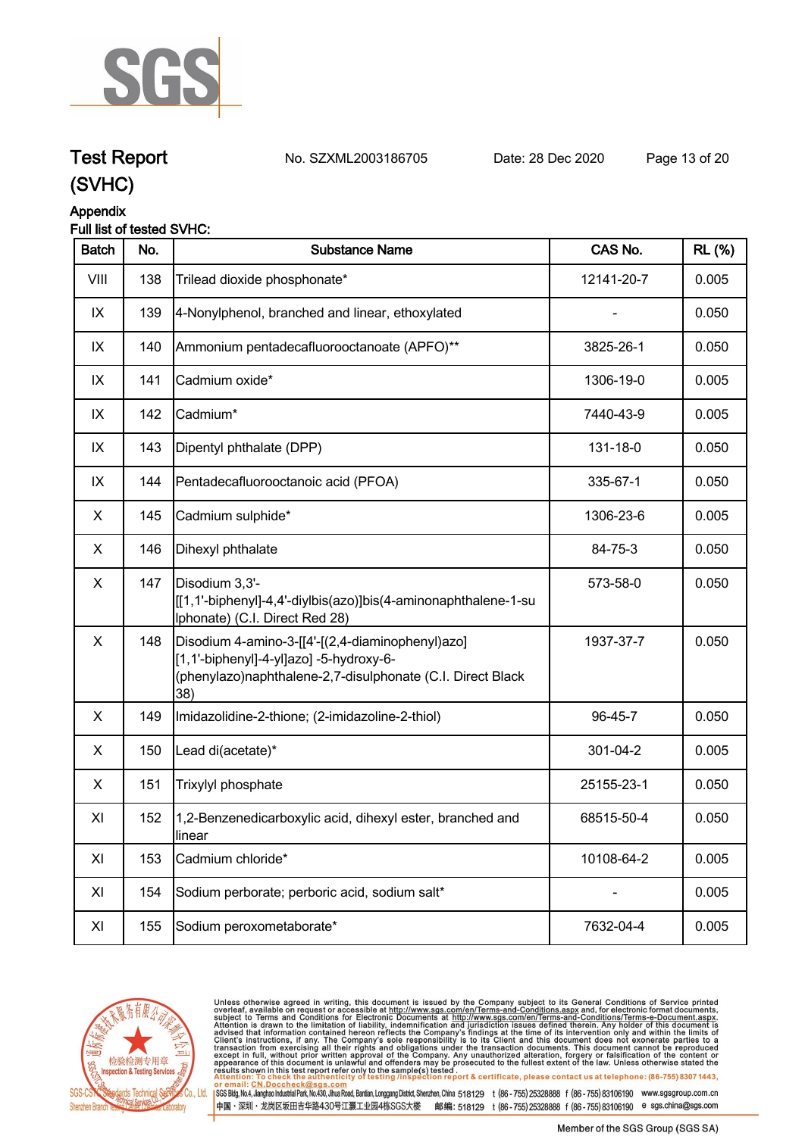

**Test Report. No. SZXML2003186705 Date: 28 Dec 2020. Page 13 of 20.**

## **(SVHC)**

#### **Appendix**

| <b>Batch</b>   | No. | <b>Substance Name</b>                                                                                                                                            | CAS No.    | <b>RL</b> (%) |
|----------------|-----|------------------------------------------------------------------------------------------------------------------------------------------------------------------|------------|---------------|
| VIII           | 138 | Trilead dioxide phosphonate*                                                                                                                                     | 12141-20-7 | 0.005         |
| IX             | 139 | 4-Nonylphenol, branched and linear, ethoxylated                                                                                                                  |            | 0.050         |
| IX             | 140 | Ammonium pentadecafluorooctanoate (APFO)**                                                                                                                       | 3825-26-1  | 0.050         |
| IX             | 141 | Cadmium oxide*                                                                                                                                                   | 1306-19-0  | 0.005         |
| IX             | 142 | Cadmium*                                                                                                                                                         | 7440-43-9  | 0.005         |
| IX             | 143 | Dipentyl phthalate (DPP)                                                                                                                                         | 131-18-0   | 0.050         |
| IX             | 144 | Pentadecafluorooctanoic acid (PFOA)                                                                                                                              | 335-67-1   | 0.050         |
| X              | 145 | Cadmium sulphide*                                                                                                                                                | 1306-23-6  | 0.005         |
| X              | 146 | Dihexyl phthalate                                                                                                                                                | 84-75-3    | 0.050         |
| $\pmb{\times}$ | 147 | Disodium 3,3'-<br>[[1,1'-biphenyl]-4,4'-diylbis(azo)]bis(4-aminonaphthalene-1-su<br>Iphonate) (C.I. Direct Red 28)                                               | 573-58-0   | 0.050         |
| $\pmb{\times}$ | 148 | Disodium 4-amino-3-[[4'-[(2,4-diaminophenyl)azo]<br>[1,1'-biphenyl]-4-yl]azo] -5-hydroxy-6-<br>(phenylazo)naphthalene-2,7-disulphonate (C.I. Direct Black<br>38) | 1937-37-7  | 0.050         |
| X              | 149 | Imidazolidine-2-thione; (2-imidazoline-2-thiol)                                                                                                                  | 96-45-7    | 0.050         |
| X              | 150 | Lead di(acetate)*                                                                                                                                                | 301-04-2   | 0.005         |
| X              | 151 | Trixylyl phosphate                                                                                                                                               | 25155-23-1 | 0.050         |
| XI             | 152 | 1,2-Benzenedicarboxylic acid, dihexyl ester, branched and<br>linear                                                                                              | 68515-50-4 | 0.050         |
| XI             | 153 | Cadmium chloride*                                                                                                                                                | 10108-64-2 | 0.005         |
| XI             | 154 | Sodium perborate; perboric acid, sodium salt*                                                                                                                    |            | 0.005         |
| XI             | 155 | Sodium peroxometaborate*                                                                                                                                         | 7632-04-4  | 0.005         |
|                |     |                                                                                                                                                                  |            |               |



Unless otherwise agreed in writing, this document is issued by the Company subject to its General Conditions of Service printed overleaf, available on request or accessible at http://www.sgs.com/en/Terms-and-Conditions.as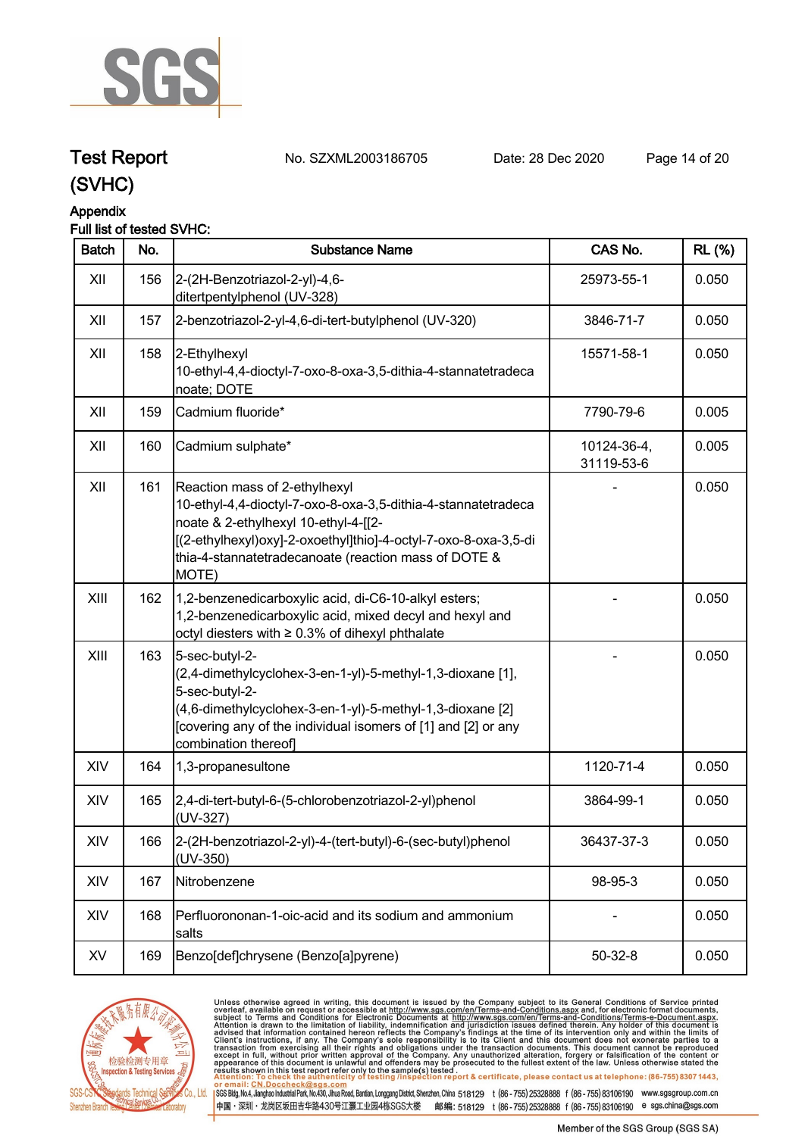

### **Test Report. No. SZXML2003186705 Date: 28 Dec 2020. Page 14 of 20.**

### **(SVHC)**

#### **Appendix**

#### **Full list of tested SVHC:**

| <b>Batch</b> | No. | <b>Substance Name</b>                                                                                                                                                                                                                                                      | CAS No.                   | <b>RL (%)</b> |
|--------------|-----|----------------------------------------------------------------------------------------------------------------------------------------------------------------------------------------------------------------------------------------------------------------------------|---------------------------|---------------|
| XII          | 156 | 2-(2H-Benzotriazol-2-yl)-4,6-<br>ditertpentylphenol (UV-328)                                                                                                                                                                                                               | 25973-55-1                | 0.050         |
| XII          | 157 | 2-benzotriazol-2-yl-4,6-di-tert-butylphenol (UV-320)                                                                                                                                                                                                                       | 3846-71-7                 | 0.050         |
| XII          | 158 | 2-Ethylhexyl<br>10-ethyl-4,4-dioctyl-7-oxo-8-oxa-3,5-dithia-4-stannatetradeca<br>noate; DOTE                                                                                                                                                                               | 15571-58-1                | 0.050         |
| XII          | 159 | Cadmium fluoride*                                                                                                                                                                                                                                                          | 7790-79-6                 | 0.005         |
| XII          | 160 | Cadmium sulphate*                                                                                                                                                                                                                                                          | 10124-36-4,<br>31119-53-6 | 0.005         |
| XII          | 161 | Reaction mass of 2-ethylhexyl<br>10-ethyl-4,4-dioctyl-7-oxo-8-oxa-3,5-dithia-4-stannatetradeca<br>noate & 2-ethylhexyl 10-ethyl-4-[[2-<br>[(2-ethylhexyl)oxy]-2-oxoethyl]thio]-4-octyl-7-oxo-8-oxa-3,5-di<br>thia-4-stannatetradecanoate (reaction mass of DOTE &<br>MOTE) |                           | 0.050         |
| XIII         | 162 | 1,2-benzenedicarboxylic acid, di-C6-10-alkyl esters;<br>1,2-benzenedicarboxylic acid, mixed decyl and hexyl and<br>octyl diesters with ≥ 0.3% of dihexyl phthalate                                                                                                         |                           | 0.050         |
| XIII         | 163 | 5-sec-butyl-2-<br>(2,4-dimethylcyclohex-3-en-1-yl)-5-methyl-1,3-dioxane [1],<br>5-sec-butyl-2-<br>(4,6-dimethylcyclohex-3-en-1-yl)-5-methyl-1,3-dioxane [2]<br>[covering any of the individual isomers of [1] and [2] or any<br>combination thereof                        |                           | 0.050         |
| XIV          | 164 | 1,3-propanesultone                                                                                                                                                                                                                                                         | 1120-71-4                 | 0.050         |
| XIV          | 165 | 2,4-di-tert-butyl-6-(5-chlorobenzotriazol-2-yl)phenol<br>(UV-327)                                                                                                                                                                                                          | 3864-99-1                 | 0.050         |
| XIV          | 166 | 2-(2H-benzotriazol-2-yl)-4-(tert-butyl)-6-(sec-butyl)phenol<br>(UV-350)                                                                                                                                                                                                    | 36437-37-3                | 0.050         |
| XIV          | 167 | Nitrobenzene                                                                                                                                                                                                                                                               | 98-95-3                   | 0.050         |
| XIV          | 168 | Perfluorononan-1-oic-acid and its sodium and ammonium<br>salts                                                                                                                                                                                                             |                           | 0.050         |
| XV           | 169 | Benzo[def]chrysene (Benzo[a]pyrene)                                                                                                                                                                                                                                        | $50 - 32 - 8$             | 0.050         |



Unless otherwise agreed in writing, this document is issued by the Company subject to its General Conditions of Service printed overleaf, available on request or accessible at http://www.sgs.com/en/Terms-and-Conditions.as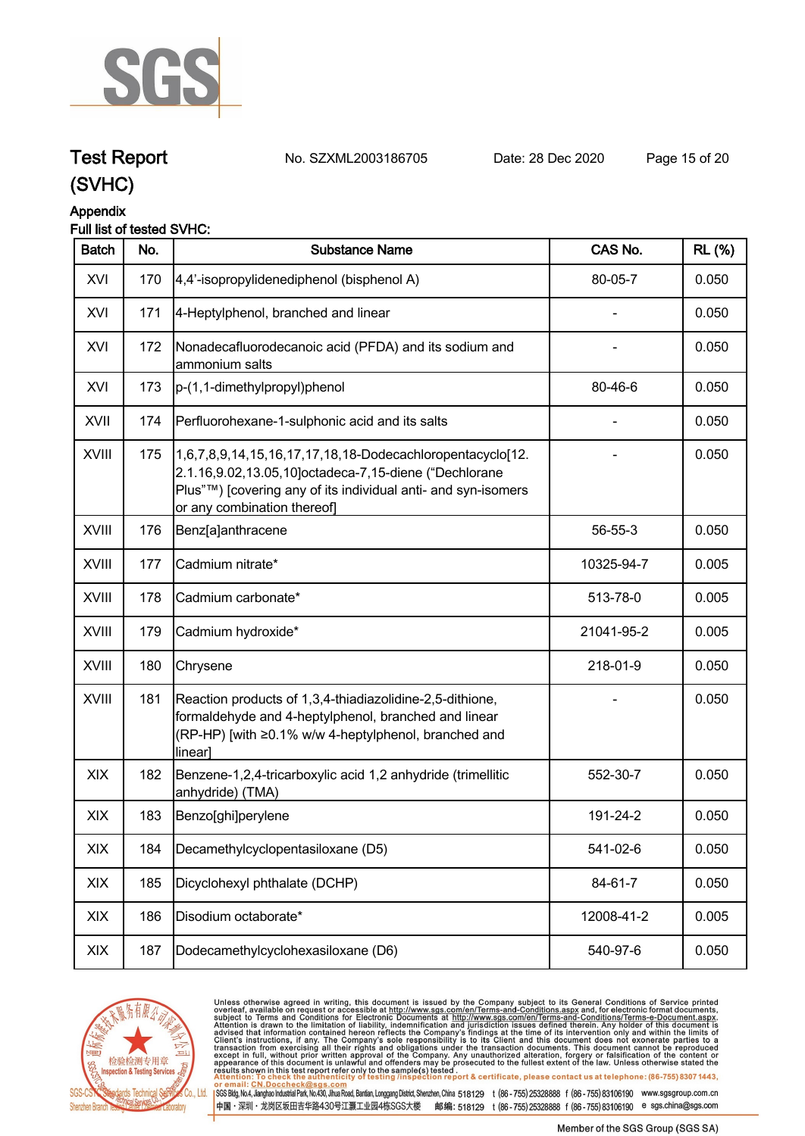

### **Test Report. No. SZXML2003186705 Date: 28 Dec 2020. Page 15 of 20.**

### **(SVHC)**

#### **Appendix**

#### **Full list of tested SVHC:**

| <b>Batch</b> | No. | <b>Substance Name</b>                                                                                                                                                                                             | CAS No.    | <b>RL (%)</b> |
|--------------|-----|-------------------------------------------------------------------------------------------------------------------------------------------------------------------------------------------------------------------|------------|---------------|
| XVI          | 170 | 4,4'-isopropylidenediphenol (bisphenol A)                                                                                                                                                                         | 80-05-7    | 0.050         |
| XVI          | 171 | 4-Heptylphenol, branched and linear                                                                                                                                                                               |            | 0.050         |
| XVI          | 172 | Nonadecafluorodecanoic acid (PFDA) and its sodium and<br>ammonium salts                                                                                                                                           |            | 0.050         |
| XVI          | 173 | p-(1,1-dimethylpropyl)phenol                                                                                                                                                                                      | 80-46-6    | 0.050         |
| <b>XVII</b>  | 174 | Perfluorohexane-1-sulphonic acid and its salts                                                                                                                                                                    |            | 0.050         |
| XVIII        | 175 | 1,6,7,8,9,14,15,16,17,17,18,18-Dodecachloropentacyclo[12.<br>2.1.16,9.02,13.05,10]octadeca-7,15-diene ("Dechlorane<br>Plus"™) [covering any of its individual anti- and syn-isomers<br>or any combination thereof |            | 0.050         |
| <b>XVIII</b> | 176 | Benz[a]anthracene                                                                                                                                                                                                 | 56-55-3    | 0.050         |
| <b>XVIII</b> | 177 | Cadmium nitrate*                                                                                                                                                                                                  | 10325-94-7 | 0.005         |
| <b>XVIII</b> | 178 | Cadmium carbonate*                                                                                                                                                                                                | 513-78-0   | 0.005         |
| <b>XVIII</b> | 179 | Cadmium hydroxide*                                                                                                                                                                                                | 21041-95-2 | 0.005         |
| XVIII        | 180 | Chrysene                                                                                                                                                                                                          | 218-01-9   | 0.050         |
| XVIII        | 181 | Reaction products of 1,3,4-thiadiazolidine-2,5-dithione,<br>formaldehyde and 4-heptylphenol, branched and linear<br>(RP-HP) [with ≥0.1% w/w 4-heptylphenol, branched and<br>linear]                               |            | 0.050         |
| XIX          | 182 | Benzene-1,2,4-tricarboxylic acid 1,2 anhydride (trimellitic<br>anhydride) (TMA)                                                                                                                                   | 552-30-7   | 0.050         |
| XIX          | 183 | Benzo[ghi]perylene                                                                                                                                                                                                | 191-24-2   | 0.050         |
| XIX          | 184 | Decamethylcyclopentasiloxane (D5)                                                                                                                                                                                 | 541-02-6   | 0.050         |
| XIX          | 185 | Dicyclohexyl phthalate (DCHP)                                                                                                                                                                                     | 84-61-7    | 0.050         |
| XIX          | 186 | Disodium octaborate*                                                                                                                                                                                              | 12008-41-2 | 0.005         |
| XIX          | 187 | Dodecamethylcyclohexasiloxane (D6)                                                                                                                                                                                | 540-97-6   | 0.050         |



Unless otherwise agreed in writing, this document is issued by the Company subject to its General Conditions of Service printed overleaf, available on request or accessible at http://www.sgs.com/en/Terms-and-Conditions.as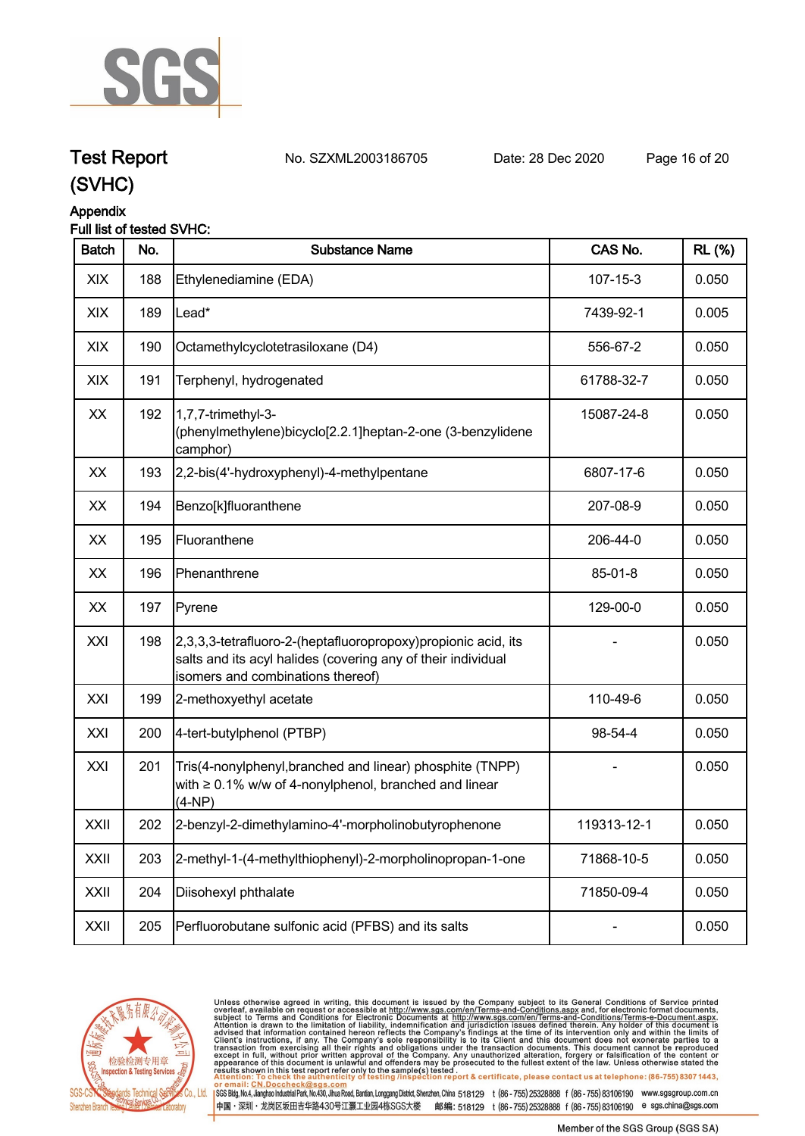

## **Test Report. No. SZXML2003186705 Date: 28 Dec 2020. Page 16 of 20.**

### **(SVHC)**

#### **Appendix**

#### **Full list of tested SVHC:**

| <b>Batch</b> | No. | <b>Substance Name</b>                                                                                                                                              | CAS No.        | <b>RL</b> (%) |
|--------------|-----|--------------------------------------------------------------------------------------------------------------------------------------------------------------------|----------------|---------------|
| XIX          | 188 | Ethylenediamine (EDA)                                                                                                                                              | $107 - 15 - 3$ | 0.050         |
| XIX          | 189 | Lead*                                                                                                                                                              | 7439-92-1      | 0.005         |
| XIX          | 190 | Octamethylcyclotetrasiloxane (D4)                                                                                                                                  | 556-67-2       | 0.050         |
| XIX          | 191 | Terphenyl, hydrogenated                                                                                                                                            | 61788-32-7     | 0.050         |
| XX           | 192 | 1,7,7-trimethyl-3-<br>(phenylmethylene)bicyclo[2.2.1]heptan-2-one (3-benzylidene<br>camphor)                                                                       | 15087-24-8     | 0.050         |
| XX           | 193 | 2,2-bis(4'-hydroxyphenyl)-4-methylpentane                                                                                                                          | 6807-17-6      | 0.050         |
| XX           | 194 | Benzo[k]fluoranthene                                                                                                                                               | 207-08-9       | 0.050         |
| XX           | 195 | Fluoranthene                                                                                                                                                       | 206-44-0       | 0.050         |
| XX           | 196 | Phenanthrene                                                                                                                                                       | 85-01-8        | 0.050         |
| XX           | 197 | Pyrene                                                                                                                                                             | 129-00-0       | 0.050         |
| XXI          | 198 | 2,3,3,3-tetrafluoro-2-(heptafluoropropoxy)propionic acid, its<br>salts and its acyl halides (covering any of their individual<br>isomers and combinations thereof) |                | 0.050         |
| XXI          | 199 | 2-methoxyethyl acetate                                                                                                                                             | 110-49-6       | 0.050         |
| XXI          | 200 | 4-tert-butylphenol (PTBP)                                                                                                                                          | 98-54-4        | 0.050         |
| XXI          | 201 | Tris(4-nonylphenyl, branched and linear) phosphite (TNPP)<br>with $\geq 0.1\%$ w/w of 4-nonylphenol, branched and linear<br>(4-NP)                                 |                | 0.050         |
| XXII         | 202 | 2-benzyl-2-dimethylamino-4'-morpholinobutyrophenone                                                                                                                | 119313-12-1    | 0.050         |
| XXII         | 203 | 2-methyl-1-(4-methylthiophenyl)-2-morpholinopropan-1-one                                                                                                           | 71868-10-5     | 0.050         |
| XXII         | 204 | Diisohexyl phthalate                                                                                                                                               | 71850-09-4     | 0.050         |
| XXII         | 205 | Perfluorobutane sulfonic acid (PFBS) and its salts                                                                                                                 |                | 0.050         |



Unless otherwise agreed in writing, this document is issued by the Company subject to its General Conditions of Service printed overleaf, available on request or accessible at http://www.sgs.com/en/Terms-and-Conditions.as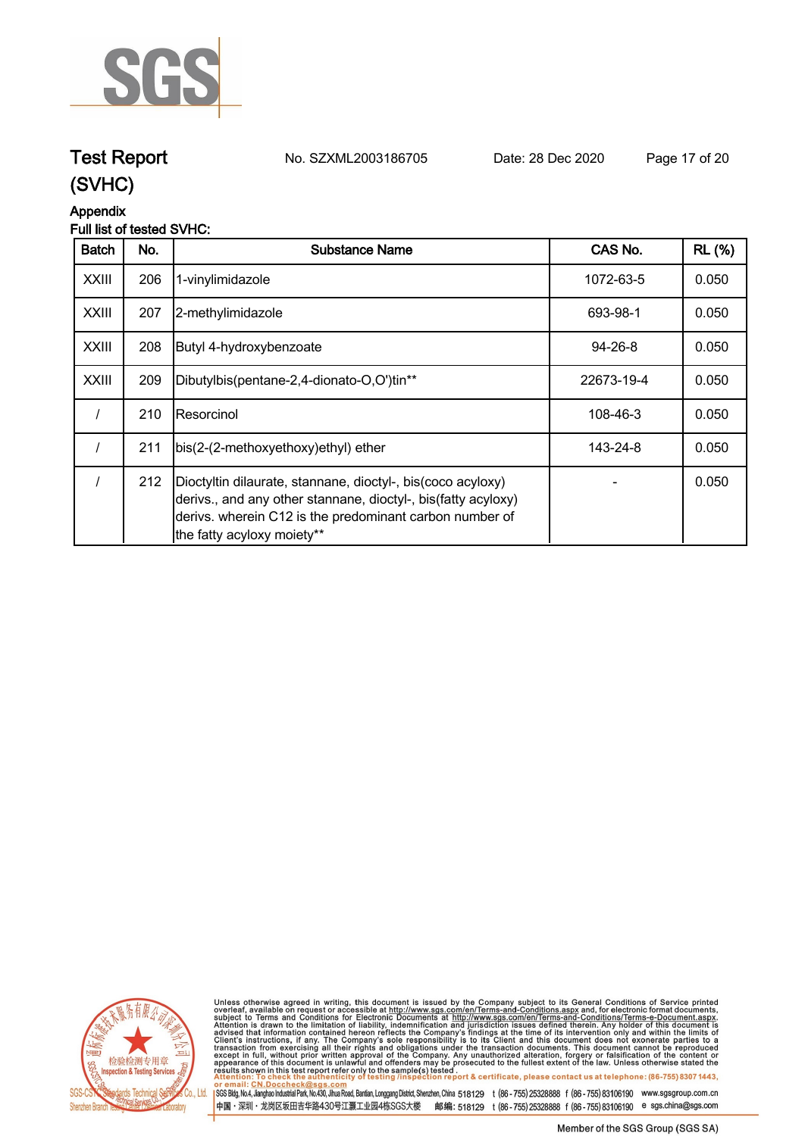

# **Test Report. No. SZXML2003186705 Date: 28 Dec 2020. Page 17 of 20.**

**(SVHC)**

#### **Appendix**

#### **Full list of tested SVHC:**

| <b>Batch</b> | No. | <b>Substance Name</b>                                                                                                                                                                                                  | CAS No.       | <b>RL</b> (%) |
|--------------|-----|------------------------------------------------------------------------------------------------------------------------------------------------------------------------------------------------------------------------|---------------|---------------|
| <b>XXIII</b> | 206 | 1-vinylimidazole                                                                                                                                                                                                       | 1072-63-5     | 0.050         |
| <b>XXIII</b> | 207 | 2-methylimidazole                                                                                                                                                                                                      | 693-98-1      | 0.050         |
| <b>XXIII</b> | 208 | Butyl 4-hydroxybenzoate                                                                                                                                                                                                | $94 - 26 - 8$ | 0.050         |
| <b>XXIII</b> | 209 | Dibutylbis(pentane-2,4-dionato-O,O')tin**                                                                                                                                                                              | 22673-19-4    | 0.050         |
|              | 210 | Resorcinol                                                                                                                                                                                                             | 108-46-3      | 0.050         |
|              | 211 | bis(2-(2-methoxyethoxy)ethyl) ether                                                                                                                                                                                    | 143-24-8      | 0.050         |
|              | 212 | Dioctyltin dilaurate, stannane, dioctyl-, bis(coco acyloxy)<br>derivs., and any other stannane, dioctyl-, bis (fatty acyloxy)<br>derivs. wherein C12 is the predominant carbon number of<br>the fatty acyloxy moiety** |               | 0.050         |



Unless otherwise agreed in writing, this document is issued by the Company subject to its General Conditions of Service printed overleaf, available on request or accessible at http://www.sgs.com/en/Terms-and-Conditions.as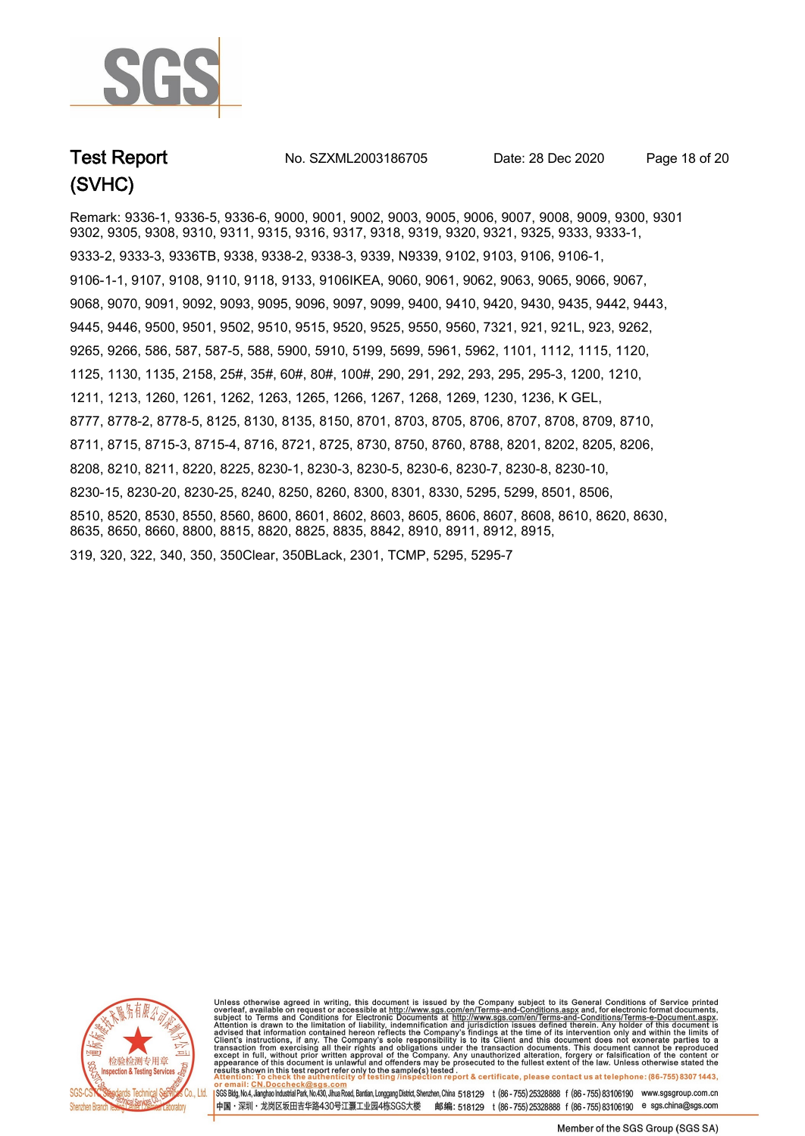

**Test Report No. SZXML2003186705** Date: 28 Dec 2020 Page 18 of 20

Remark: 9336-1, 9336-5, 9336-6, 9000, 9001, 9002, 9003, 9005, 9006, 9007, 9008, 9009, 9300, 9301, 9302, 9305, 9308, 9310, 9311, 9315, 9316, 9317, 9318, 9319, 9320, 9321, 9325, 9333, 9333-1, 9333-2, 9333-3, 9336TB, 9338, 9338-2, 9338-3, 9339, N9339, 9102, 9103, 9106, 9106-1, 9106-1-1, 9107, 9108, 9110, 9118, 9133, 9106IKEA, 9060, 9061, 9062, 9063, 9065, 9066, 9067, 9068, 9070, 9091, 9092, 9093, 9095, 9096, 9097, 9099, 9400, 9410, 9420, 9430, 9435, 9442, 9443, 9445, 9446, 9500, 9501, 9502, 9510, 9515, 9520, 9525, 9550, 9560, 7321, 921, 921L, 923, 9262, 9265, 9266, 586, 587, 587-5, 588, 5900, 5910, 5199, 5699, 5961, 5962, 1101, 1112, 1115, 1120, 1125, 1130, 1135, 2158, 25#, 35#, 60#, 80#, 100#, 290, 291, 292, 293, 295, 295-3, 1200, 1210, 1211, 1213, 1260, 1261, 1262, 1263, 1265, 1266, 1267, 1268, 1269, 1230, 1236, K GEL, 8777, 8778-2, 8778-5, 8125, 8130, 8135, 8150, 8701, 8703, 8705, 8706, 8707, 8708, 8709, 8710, 8711, 8715, 8715-3, 8715-4, 8716, 8721, 8725, 8730, 8750, 8760, 8788, 8201, 8202, 8205, 8206, 8208, 8210, 8211, 8220, 8225, 8230-1, 8230-3, 8230-5, 8230-6, 8230-7, 8230-8, 8230-10, 8230-15, 8230-20, 8230-25, 8240, 8250, 8260, 8300, 8301, 8330, 5295, 5299, 8501, 8506, 8510, 8520, 8530, 8550, 8560, 8600, 8601, 8602, 8603, 8605, 8606, 8607, 8608, 8610, 8620, 8630, 8635, 8650, 8660, 8800, 8815, 8820, 8825, 8835, 8842, 8910, 8911, 8912, 8915, 319, 320, 322, 340, 350, 350Clear, 350BLack, 2301, TCMP, 5295, 5295-7



Unless otherwise agreed in writing, this document is issued by the Company subject to its General Conditions of Service printed overleaf, available on request or accessible at http://www.sgs.com/en/Terms-and-Conditions.as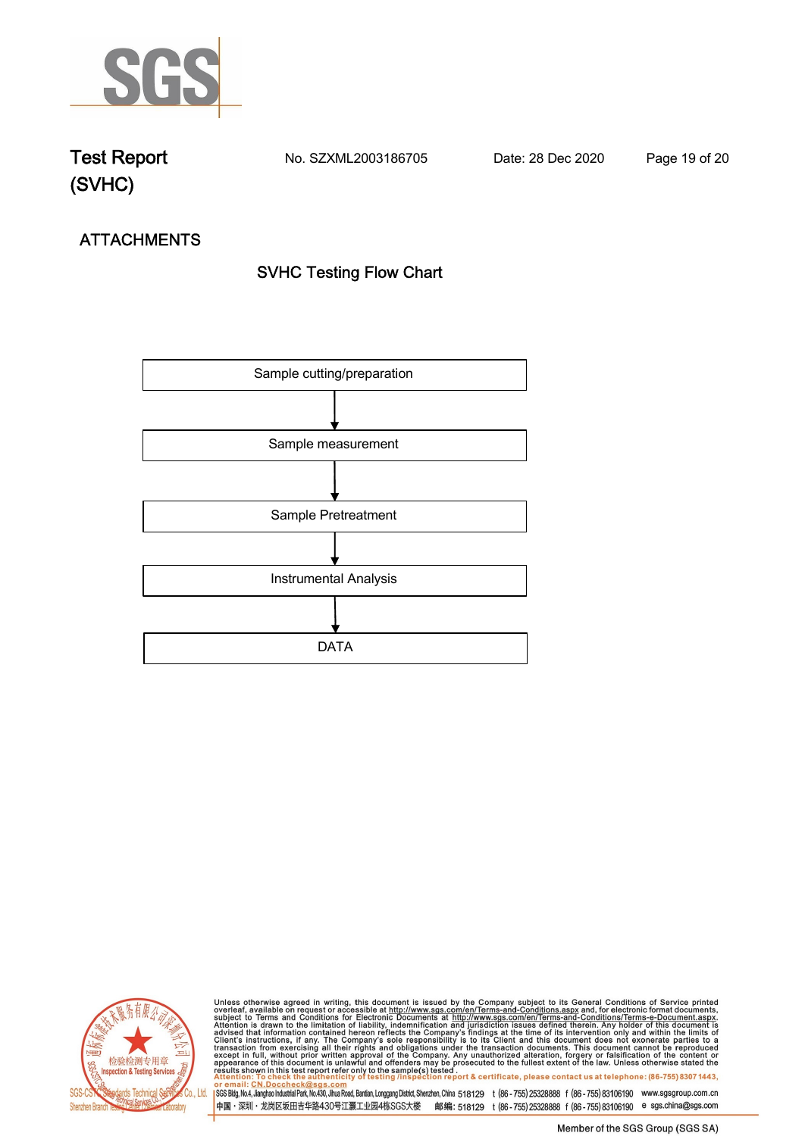

**Test Report. No. SZXML2003186705 Date: 28 Dec 2020. Page 19 of 20.**

# **ATTACHMENTS SVHC Testing Flow Chart**





Unless otherwise agreed in writing, this document is issued by the Company subject to its General Conditions of Service printed overleaf, available on request or accessible at http://www.sgs.com/en/Terms-and-Conditions.as

SGS Bldg, No.4, Jianghao Industrial Park, No.430, Jihua Road, Bantian, Longgang District, Shenzhen, China 518129 t (86-755) 25328888 f (86-755) 83106190 www.sgsgroup.com.cn 中国·深圳·龙岗区坂田吉华路430号江灏工业园4栋SGS大楼 邮编: 518129 t (86-755) 25328888 f (86-755) 83106190 e sgs.china@sgs.com

Member of the SGS Group (SGS SA)